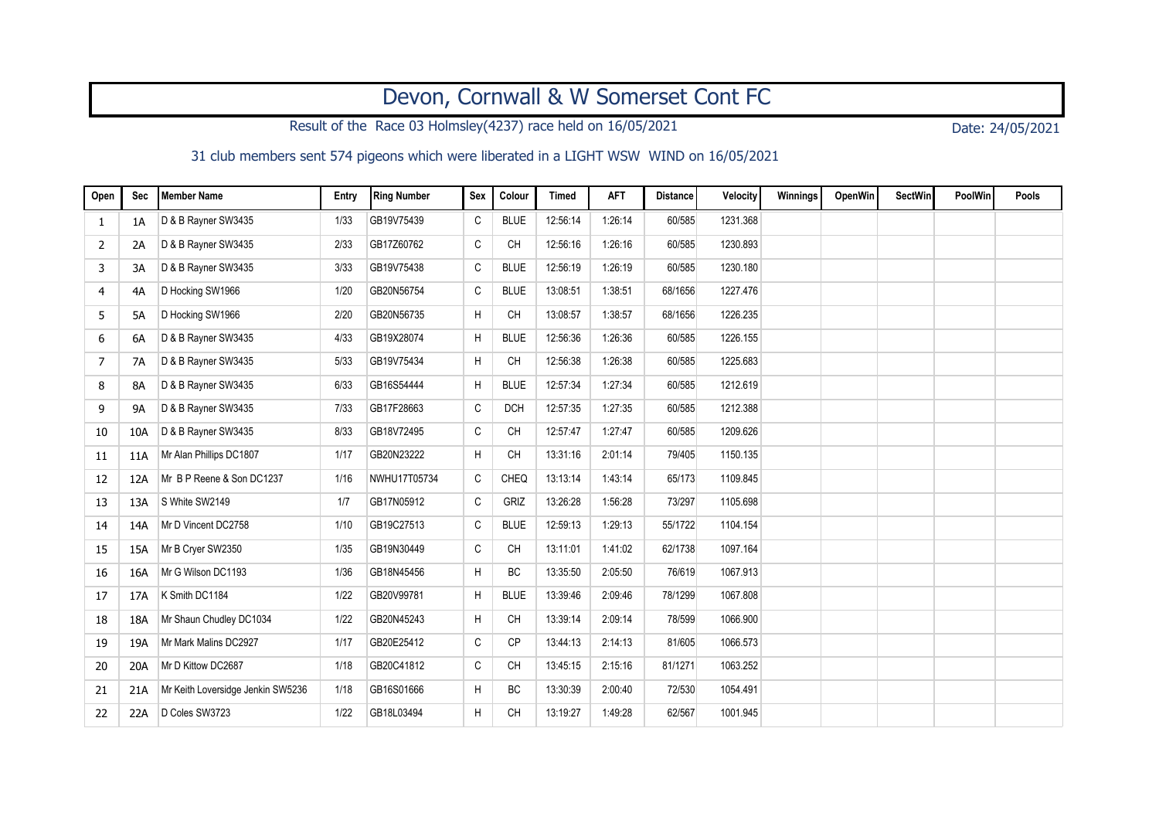## Devon, Cornwall & W Somerset Cont FC

Result of the Race 03 Holmsley(4237) race held on 16/05/2021 Date: 24/05/2021

31 club members sent 574 pigeons which were liberated in a LIGHT WSW WIND on 16/05/2021

| Open           | <b>Sec</b> | <b>Member Name</b>                | Entry | <b>Ring Number</b> | Sex         | Colour      | <b>Timed</b> | <b>AFT</b> | <b>Distance</b> | Velocity | Winnings | OpenWin | SectWin | <b>PoolWin</b> | Pools |
|----------------|------------|-----------------------------------|-------|--------------------|-------------|-------------|--------------|------------|-----------------|----------|----------|---------|---------|----------------|-------|
| 1              | 1A         | D & B Rayner SW3435               | 1/33  | GB19V75439         | C           | <b>BLUE</b> | 12:56:14     | 1:26:14    | 60/585          | 1231.368 |          |         |         |                |       |
| 2              | 2A         | D & B Rayner SW3435               | 2/33  | GB17Z60762         | C           | <b>CH</b>   | 12:56:16     | 1:26:16    | 60/585          | 1230.893 |          |         |         |                |       |
| 3              | 3A         | D & B Rayner SW3435               | 3/33  | GB19V75438         | $\mathsf C$ | <b>BLUE</b> | 12:56:19     | 1:26:19    | 60/585          | 1230.180 |          |         |         |                |       |
| 4              | 4A         | D Hocking SW1966                  | 1/20  | GB20N56754         | C           | <b>BLUE</b> | 13:08:51     | 1:38:51    | 68/1656         | 1227.476 |          |         |         |                |       |
| 5              | 5A         | D Hocking SW1966                  | 2/20  | GB20N56735         | H           | <b>CH</b>   | 13:08:57     | 1:38:57    | 68/1656         | 1226.235 |          |         |         |                |       |
| 6              | 6A         | D & B Rayner SW3435               | 4/33  | GB19X28074         | H           | <b>BLUE</b> | 12:56:36     | 1:26:36    | 60/585          | 1226.155 |          |         |         |                |       |
| $\overline{7}$ | 7A         | D & B Rayner SW3435               | 5/33  | GB19V75434         | H           | <b>CH</b>   | 12:56:38     | 1:26:38    | 60/585          | 1225.683 |          |         |         |                |       |
| 8              | <b>8A</b>  | D & B Rayner SW3435               | 6/33  | GB16S54444         | Н           | <b>BLUE</b> | 12:57:34     | 1:27:34    | 60/585          | 1212.619 |          |         |         |                |       |
| 9              | <b>9A</b>  | D & B Rayner SW3435               | 7/33  | GB17F28663         | C           | <b>DCH</b>  | 12:57:35     | 1:27:35    | 60/585          | 1212.388 |          |         |         |                |       |
| 10             | 10A        | D & B Rayner SW3435               | 8/33  | GB18V72495         | C           | <b>CH</b>   | 12:57:47     | 1:27:47    | 60/585          | 1209.626 |          |         |         |                |       |
| 11             | 11A        | Mr Alan Phillips DC1807           | 1/17  | GB20N23222         | H           | <b>CH</b>   | 13:31:16     | 2:01:14    | 79/405          | 1150.135 |          |         |         |                |       |
| 12             | 12A        | Mr B P Reene & Son DC1237         | 1/16  | NWHU17T05734       | C           | CHEQ        | 13:13:14     | 1:43:14    | 65/173          | 1109.845 |          |         |         |                |       |
| 13             | 13A        | S White SW2149                    | 1/7   | GB17N05912         | C           | GRIZ        | 13:26:28     | 1:56:28    | 73/297          | 1105.698 |          |         |         |                |       |
| 14             | 14A        | Mr D Vincent DC2758               | 1/10  | GB19C27513         | C           | <b>BLUE</b> | 12:59:13     | 1:29:13    | 55/1722         | 1104.154 |          |         |         |                |       |
| 15             | 15A        | Mr B Cryer SW2350                 | 1/35  | GB19N30449         | C           | <b>CH</b>   | 13:11:01     | 1:41:02    | 62/1738         | 1097.164 |          |         |         |                |       |
| 16             | 16A        | Mr G Wilson DC1193                | 1/36  | GB18N45456         | H           | <b>BC</b>   | 13:35:50     | 2:05:50    | 76/619          | 1067.913 |          |         |         |                |       |
| 17             | 17A        | K Smith DC1184                    | 1/22  | GB20V99781         | H           | <b>BLUE</b> | 13:39:46     | 2:09:46    | 78/1299         | 1067.808 |          |         |         |                |       |
| 18             | 18A        | Mr Shaun Chudley DC1034           | 1/22  | GB20N45243         | H           | <b>CH</b>   | 13:39:14     | 2:09:14    | 78/599          | 1066.900 |          |         |         |                |       |
| 19             | 19A        | Mr Mark Malins DC2927             | 1/17  | GB20E25412         | C           | <b>CP</b>   | 13:44:13     | 2:14:13    | 81/605          | 1066.573 |          |         |         |                |       |
| 20             | 20A        | Mr D Kittow DC2687                | 1/18  | GB20C41812         | C           | <b>CH</b>   | 13:45:15     | 2:15:16    | 81/1271         | 1063.252 |          |         |         |                |       |
| 21             | 21A        | Mr Keith Loversidge Jenkin SW5236 | 1/18  | GB16S01666         | H           | BC          | 13:30:39     | 2:00:40    | 72/530          | 1054.491 |          |         |         |                |       |
| 22             | 22A        | D Coles SW3723                    | 1/22  | GB18L03494         | H           | <b>CH</b>   | 13:19:27     | 1:49:28    | 62/567          | 1001.945 |          |         |         |                |       |